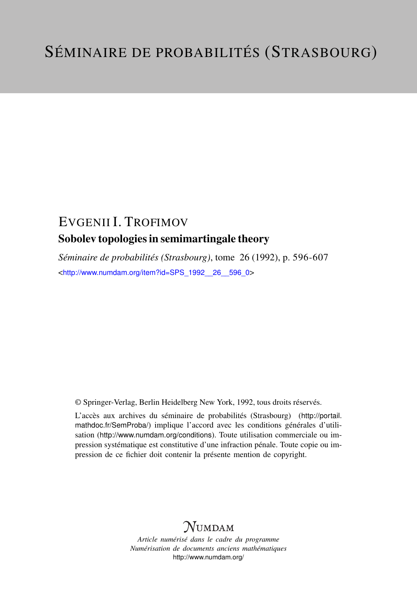## EVGENII I. TROFIMOV Sobolev topologies in semimartingale theory

*Séminaire de probabilités (Strasbourg)*, tome 26 (1992), p. 596-607 <[http://www.numdam.org/item?id=SPS\\_1992\\_\\_26\\_\\_596\\_0](http://www.numdam.org/item?id=SPS_1992__26__596_0)>

© Springer-Verlag, Berlin Heidelberg New York, 1992, tous droits réservés.

L'accès aux archives du séminaire de probabilités (Strasbourg) ([http://portail.](http://portail.mathdoc.fr/SemProba/) [mathdoc.fr/SemProba/](http://portail.mathdoc.fr/SemProba/)) implique l'accord avec les conditions générales d'utilisation (<http://www.numdam.org/conditions>). Toute utilisation commerciale ou impression systématique est constitutive d'une infraction pénale. Toute copie ou impression de ce fichier doit contenir la présente mention de copyright.

# **NUMDAM**

*Article numérisé dans le cadre du programme Numérisation de documents anciens mathématiques* <http://www.numdam.org/>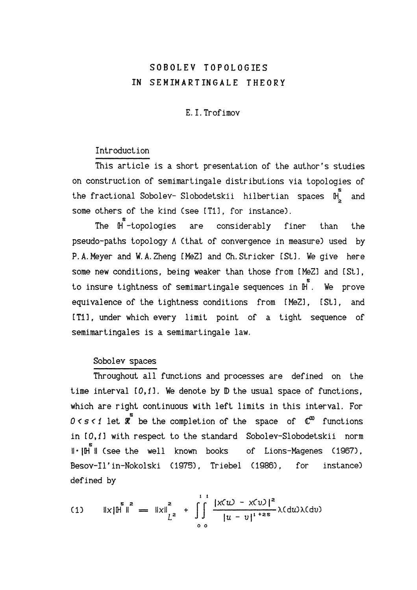## SOBOLEV TOPOLOGIES IN SEMIMARTINGALE THEORY

## E.I.Trofimov

## Introduction

This article is a short presentation of the author's studies on construction of semimartingale distributions via topologies of the fractional Sobolev- Slobodetskii hilbertian spaces  $\mathbb{H}^{\text{S}}_{2}$  and some others of the kind (see [T1], for instance).

The  $\mathfrak{h}$  -topologies are considerably finer than the pseudo-paths topology A (that of convergence in measure) used by P.A.Meyer and W.A.Zheng [MeZ] and Ch. Stricker I Stl. We give here some new conditions, being weaker than those from [MeZ] and [St]. s to insure tightness of semimartingale sequences in H . We prove equivalence of the tightness conditions from [MeZ], [St], and tTll, under which every limit point of a tight sequence of semimartingales is a semimartingale law.

## Sobolev spaces

Throughout all functions and processes are defined on the time interval  $[0,1]$ . We denote by  $D$  the usual space of functions, which are right continuous with left limits in this interval. For  $0 < s < 1$  let  $\overline{x}$  be the completion of the space of  $\mathbb{C}^{\infty}$  functions in 10,fl with respect to the standard Sobolev-Slobodetskii norm s II (see the well known books of Lions-Magenes (1967), Besov-Il'in-Nokolski (1975), Triebel (1986), for instance) defined by

(1) 
$$
||x||^{\frac{2}{3}} = ||x||_{L^{2}}^{2} + \int_{0}^{1} \frac{|x(u) - x(v)|^{2}}{|u - v|^{1 + 2s}} \lambda(du) \lambda(dv)
$$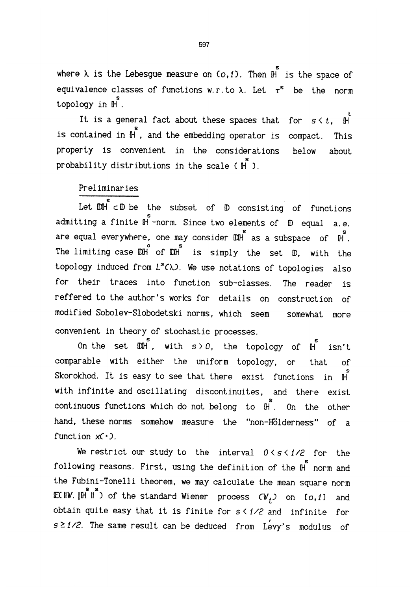where  $\lambda$  is the Lebesgue measure on (*o*,*i*). Then  $\mathop{{}\mathrm{h}}\limits^{\mathop{\mathrm{s}}\limits}$  is the space of equivalence classes of functions w.r. to  $\lambda$ . Let  $\tau^s$  be the norm topology in  $\mathbb{H}$ <sup>s</sup>.

It is a general fact about these spaces that for  $s \leq t$ ,  $\mathbb H$ is contained in  $\overline{\mathbb{H}}$ , and the embedding operator is compact. This property is convenient in the considerations below about probability distributions in the scale (  $\overset{\bullet}{\mathsf{H}}$  ).

## Preliminaries

Let  $\begin{smallmatrix} \mathbb{D}\mathbb{H} & \mathbb{D} & \mathbb{D} & \mathbb{D} & \mathbb{D} & \mathbb{D} & \mathbb{D} & \mathbb{D} & \mathbb{D} & \mathbb{D} & \mathbb{D} & \mathbb{D} & \mathbb{D} & \mathbb{D} & \mathbb{D} & \mathbb{D} & \mathbb{D} & \mathbb{D} & \mathbb{D} & \mathbb{D} & \mathbb{D} & \mathbb{D} & \mathbb{D} & \mathbb{D} & \mathbb{D} & \mathbb{D} & \mathbb{D} & \mathbb{D} & \mathbb{D} & \mathbb$ admitting a finite  $\mathbb{H}$  -norm. Since two elements of  $\mathbb D$  equal a.e. are equal everywhere, one may consider  $\mathbb{D}$  as a subspace of  $\mathbb{H}$ , The limiting case  $\overline{DM}$  of  $\overline{DM}$  is simply the set  $D$ , with the topology induced from  $L^2(\lambda)$ . We use notations of topologies also for their traces into function sub-classes. The reader is reffered to the author's works for details on construction of modified Sobolev-Slobodetski norms, which seem somewhat more convenient in theory of stochastic processes.

On the set  $\mathbb{D} \hat{H}$ , with  $s > 0$ , the topology of  $\hat{H}$  isn't comparable with either the uniform topology, or that of Skorokhod. It is easy to see that there exist functions in  $H$ with infinite and oscillating discontinuites, and there exist continuous functions which do not belong to  $\ \mathbb{H}$ . On the other hand, these norms somehow measure the "non-Hölderness" of a function  $x(\cdot)$ .

We restrict our study to the interval  $0 \leq s \leq 1/2$  for the following reasons. First, using the definition of the  $\mathbb H^{s}$  norm and the Fubini-Tonelli theorem, we may calculate the mean square norm ECHW.  $\left\| \hat{\mathbb{H}}^2 \right\|$  of the standard Wiener process  $\zeta W_t$ ) on  $\{o, 1\}$  and obtain quite easy that it is finite for  $s < 1/2$  and infinite for s ≥1/2. The same result can be deduced from Levy's modulus of

597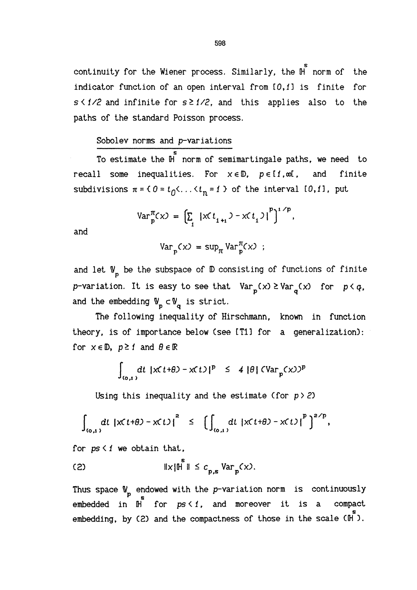continuity for the Wiener process. Similarly, the  $\mathop{{\rm H}^{\mathop{\varepsilon}}}_{\mathop{\rm norm}}$  of the indicator function of an open interval from [0,1] is finite for  $s < 1/2$  and infinite for  $s \ge 1/2$ , and this applies also to the paths of the standard Poisson process,

### Sobolev norms and p-variations

To estimate the  $\mathbb{\overset{\circ}{\tt n}}$  norm of semimartingale paths, we need to recall some inequalities. For  $x \in \mathbb{D}$ ,  $p \in [1, \infty]$ , and finite subdivisions  $\pi = \{ 0 = t_0 \leftarrow \ldots \leftarrow t_n = 1 \}$  of the interval  $[0, 1]$ , put

$$
Var_{p}^{\pi}(x) = \left[\sum_{i} |x(t_{i+1}) - x(t_i)|^p\right]^{1/p}
$$

and

$$
Var_p(x) = sup_{\pi} Var_p^{\pi}(x) ;
$$

and let  $\mathbb{V}_n$  be the subspace of  $\mathbb D$  consisting of functions of finite p-variation. It is easy to see that  $Var_p(x) \geq Var_q(x)$  for  $p < q$ , and the embedding  $\mathbb{V}_p \subset \mathbb{V}_q$  is strict.

The following inequality of Hirschmann, known in function theory, is of importance below (see [T1] for a generalization) : for  $x \in \mathbb{D}$ ,  $p \ge 1$  and  $\theta \in \mathbb{R}$ 

$$
\int_{(0,1)} dt |x(t+\theta) - x(t)|^p \leq 4 |\theta| (\text{Var}_p(x))^p
$$

Using this inequality and the estimate (for  $p > 2$ )

$$
\int_{(\sigma,\iota)} dt \, \left| \mathsf{x}(t+\theta) - \mathsf{x}(t) \right|^2 \leq \, \left[ \int_{(\sigma,\iota)} dt \, \left| \mathsf{x}(t+\theta) - \mathsf{x}(t) \right|^p \right]^{2/p},
$$

for  $ps \leq 1$  we obtain that,

(2) 
$$
\|x\| \stackrel{\text{s}}{\|} \|\leq c_{p,\text{s}} \text{Var}_{p}(x).
$$

Thus space  $\mathbb{V}_p$  endowed with the p-variation norm is continuously embedded in  $\mathbb{H}^s$  for  $ps \leq 1$ , and moreover it is a compact embedded in  $\mathbb{H}$  for  $ps \leq 1$ , and moreover it is a embedding, by (2) and the compactness of those in the scale  $(\mathbb{H}^5)$ .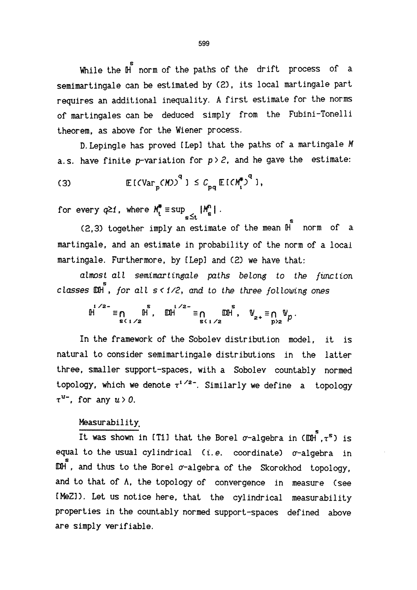While the  $H$  norm of the paths of the drift process of a semimartingale can be estimated by (2), its local martingale part requires an additional inequality. A first estimate for the norms of martingales can be deduced simply from the Fubini-Tonelli theorem, as above for the Wiener process,

D.Lepingle has proved [Lep] that the paths of a martingale M a.s. have finite p-variation for  $p > 2$ , and he gave the estimate:

$$
\text{(3)} \qquad \qquad \mathbb{E}\left[\text{CVar}_{p}(\textit{M})\right]^{q} \text{ is } c_{pq} \mathbb{E}\left[\text{CV}_{i}^{*}\right]^{q} \text{,}
$$

for every  $q\geq 1$ , where  $M_t^* \equiv \sup_{s\leq t} |M_s^n|$ .

 $(2,3)$  together imply an estimate of the mean  $\mathbb{H}$  norm of a martingale, and an estimate in probability of the norm of a local martingale. Furthermore, by [Lep] and (2) we have that:

almost all semimartingale paths belong to the function classes  $\mathbb{M}$ , for all  $s < 1/2$ , and to the three following ones

$$
\mathbb{H} \overset{s \leq 1}{\equiv} \mathbb{H} \overset{s}{\sim} \mathbb{H} \overset{1}{\sim} \mathbb{H} \overset{1}{\equiv} \underset{s \leq 1/2}{\mathbb{H} \times \mathbb{H}} \mathbb{H} \overset{s}{\equiv} \underset{s \leq 1/2}{\mathbb{H} \times \mathbb{H}} \mathbb{H} \overset{1}{\approx} \mathbb{H} \overset{1}{\approx} \mathbb{H} \overset{1}{\approx} \mathbb{H} \overset{1}{\approx} \mathbb{H} \overset{1}{\approx} \mathbb{H} \overset{1}{\approx} \mathbb{H} \overset{1}{\approx} \mathbb{H} \overset{1}{\approx} \mathbb{H} \overset{1}{\approx} \mathbb{H} \overset{1}{\approx} \mathbb{H} \overset{1}{\approx} \mathbb{H} \overset{1}{\approx} \mathbb{H} \overset{1}{\approx} \mathbb{H} \overset{1}{\approx} \mathbb{H} \overset{1}{\approx} \mathbb{H} \overset{1}{\approx} \mathbb{H} \overset{1}{\approx} \mathbb{H} \overset{1}{\approx} \mathbb{H} \overset{1}{\approx} \mathbb{H} \overset{1}{\approx} \mathbb{H} \overset{1}{\approx} \mathbb{H} \overset{1}{\approx} \mathbb{H} \overset{1}{\approx} \mathbb{H} \overset{1}{\approx} \mathbb{H} \overset{1}{\approx} \mathbb{H} \overset{1}{\approx} \mathbb{H} \overset{1}{\approx} \mathbb{H} \overset{1}{\approx} \mathbb{H} \overset{1}{\approx} \mathbb{H} \overset{1}{\approx} \mathbb{H} \overset{1}{\approx} \mathbb{H} \overset{1}{\approx} \mathbb{H} \overset{1}{\approx} \mathbb{H} \overset{1}{\approx} \mathbb{H} \overset{1}{\approx} \mathbb{H} \overset{1}{\approx} \mathbb{H} \overset{1}{\approx} \mathbb{H} \overset{1}{\approx} \mathbb{H} \overset{1}{\approx} \mathbb{H} \overset{1}{\approx} \mathbb{H} \overset{1}{\approx} \mathbb{H} \overset{1}{\approx} \
$$

In the framework of the Sobolev distribution model, it is natural to consider semimartingale distributions in the latter three, smaller support-spaces, with a Sobolev countably normed topology, which we denote  $\tau^{1/2-}$ . Similarly we define a topology  $\tau^{u}$ . for any  $u > 0$ .

## Measurability.

It was shown in (T1) that the Borel  $\sigma$ -algebra in  $(\mathbb{D}H^{\mathsf{S}}, \tau^{\mathsf{S}})$  is equal to the usual cylindrical (i.e. coordinate)  $\sigma$ -algebra in  $\mathbb{D}$ H, and thus to the Borel  $\sigma$ -algebra of the Skorokhod topology, and to that of A, the topology of convergence in measure (see [HeZ]). Let us notice here, that the cylindrical measurability properties in the countably normed support-spaces defined above are simply verifiable.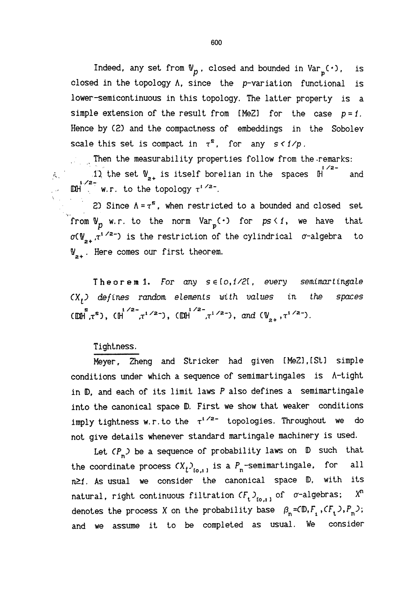Indeed, any set from  $\nabla_p$ , closed and bounded in  $\text{Var}_p(\cdot)$ , is closed in the topology A, since the p-variation functional is lower-semicontinuous in this topology, The latter property is a simple extension of the result from [MeZ] for the case  $p = 1$ . Hence by (2) and the compactness of embeddings in the Sobolev scale this set is compact in  $\tau^s$ , for any  $s < 1/p$ .

, , Then the measurability properties follow from the.remarks: 1) the set  $\mathbb{V}_{2+}$  is itself borelian in the spaces  $\mathbb{H}^{1/2-}$  and  $\mathbb{D}$   $\mathbb{D}$  w, r, to the topology  $\tau^{1/2-}$ .

2) Since  $\Lambda = \tau^5$ , when restricted to a bounded and closed set from  $\mathbb{V}_p$  w.r. to the norm  $Var_p(\cdot)$  for  $ps \leq 1$ , we have that  $\sigma(\psi_{\alpha}, \tau^{1/2})$  is the restriction of the cylindrical  $\sigma$ -algebra to  $N_{2+}$ . Here comes our first theorem.

Theorem 1. For any  $s \in [0, 1/2]$ , every semimartingale  $(X_t)$  defines random elements with values in the spaces  $(\mathbb{DM}^{\mathbb{S}}, \tau^{\mathbb{S}})$ ,  $(\mathbb{H}^{1/2-}, \tau^{1/2-})$ ,  $(\mathbb{DM}^{1/2-}, \tau^{1/2-})$ , and  $(\mathbb{V}_{2+}, \tau^{1/2-})$ .

## Tightness.

 $\hat{p}_{\rm ex}^{(1)}$  .

Meyer, Zheng and Stricker had given [MeZ],[St] simple conditions under which a sequence of semimartingales is A-tight in D, and each of its limit laws P also defines a semimartingale into the canonical space D, First we show that weaker conditions imply tightness w.r. to the  $\tau^{1/2}$  topologies. Throughout we do not give details whenever standard martingale machinery is used.

Let  $(P_n)$  be a sequence of probability laws on  $D$  such that the coordinate process  $\left(X_t\right)_{\mathfrak{t}_{0,1}}$  is a  $P_\mathfrak{n}$ -semimartingale, for all  $n \geq 1$ . As usual we consider the canonical space  $D$ , with its natural, right continuous filtration  $CF_{t}$ ,  $\mathcal{L}_{[0,1]}$  of  $\sigma$ -algebras;  $X^n$ denotes the process X on the probability base  $\beta_n = (D, F, G, P, P, D)$ ; and we assume it to be completed as usual. We consider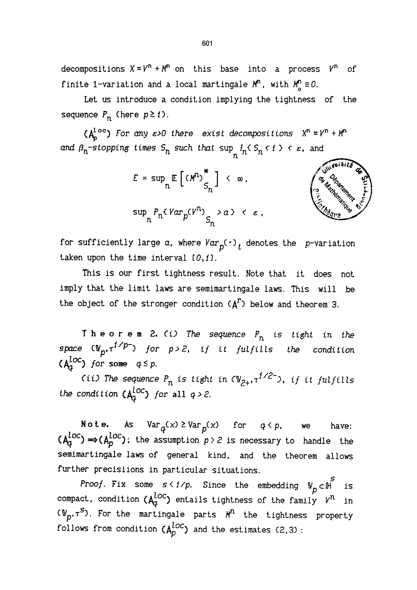decompositions  $X = V^n + M^n$  on this base into a process  $V^n$  of finite 1-variation and a local martingale  $M^n$ , with  $M^n_a \equiv 0$ .

Let us introduce a condition implying the tightness of the sequence  $P_n$  (here  $p \ge 1$ ).

( $A_b^{1 \text{ oc}}$ ) For any  $\varepsilon > 0$  there exist decompositions  $X^n = Y^n + M^n$ and  $\beta_n$ -stopping times  $S_n$  such that  $\sup_n I_n \{S_n < 1 \} < \varepsilon$ , and

$$
E = \sup_{n} \mathbb{E} \left[ \left( M^{n} \right)_{S_{n}}^{*} \right] < \infty,
$$
\n
$$
\sup_{n} P_{n} \left( Var_{p} \left( V^{n} \right)_{S_{n}} > \alpha \right) < \varepsilon.
$$



for sufficiently large  $a$ , where  $Var_{p}(\cdot)$  denotes the p-variation taken upon the time interval  $[0,1]$ .

This is our first tightness result. Note that it does not imply that the limit laws are semimartingale laws. This will be the object of the stronger condition  $(A<sup>r</sup>)$  below and theorem 3.

Theorem 2.  $(i)$  The sequence  $P_n$  is tight in the space  $(\mathbb{V}_p, \tau^{1/p-})$  for p>2, if it fulfills the condition  $(A<sub>a</sub><sup>loc</sup>)$  for some  $q \leq p$ .

(ii) The sequence  $P_n$  is tight in  $\langle \mathbb{V}_{2+}, \tau^{1/2-} \rangle$ , if it fulfills the condition  $(A^{loc}_{\alpha})$  for all  $q > 2$ .

**Note.** As  $Var_q(x) \geq Var_p(x)$  for  $q \leq p$ , we have:  $(A_q^{\text{csc}}) \Rightarrow (A_p^{\text{csc}})$ ; the assumption  $p > 2$  is necessary to handle the semimartingale laws of general kind, and the theorem allows further precisiions in particular situations.

*Proof.* Fix some  $s < 1/p$ . Since the embedding  $\mathbb{V}_p \subset \mathbb{H}$ is compact, condition  $(A_q^{loc})$  entails tightness of the family  $v^n$  in  $\sigma_{\text{F}}(\Psi_{n}, \tau^{S})$ . For the martingale parts  $M^{n}$  the tightness property follows from condition  $(A_p^{loc})$  and the estimates (2,3):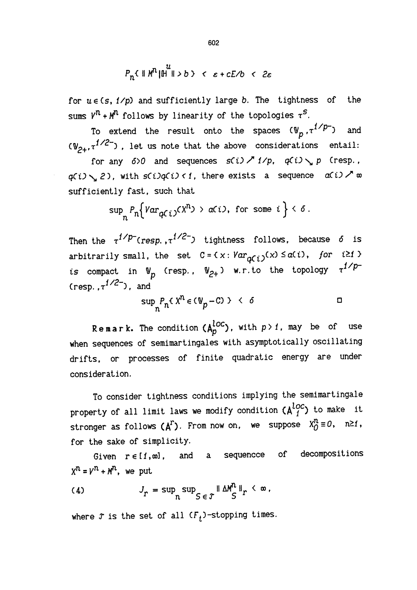$$
P_n \in ||M^n||_1^u ||>b> \quad < \quad \varepsilon + cE/b \quad < \quad 2\varepsilon
$$

for  $u \in (s, 1/p)$  and sufficiently large b. The tightness of the sums  $V^n + M^n$  follows by linearity of the topologies  $\tau^S$ .

To extend the result onto the spaces  $(\mathbb{V}_p, \tau^{1/p-})$  and  $(V_{2+}, \tau^{1/2-})$ , let us note that the above considerations entail:

for any  $\delta$ >0 and sequences  $s(i) \nearrow i/p$ ,  $q(i) \searrow p$  (resp.,  $q(i) \searrow 2$ ), with  $s(i)q(i) \leq i$ , there exists a sequence  $a(i) \nearrow \infty$ sufficiently fast, such that

$$
\sup\nolimits_n P_n \Big\{ Var_{qC(i)}(X^n) \, > \, \alpha(i), \text{ for some } i \Big\} \, < \, \delta \, .
$$

Then the  $\tau^{1/p^-}$  (resp.,  $\tau^{1/2^-}$ ) tightness follows, because 6 is arbitrarily small, the set  $C = \{x : Var_{\alpha \in L}(\{x\}) \leq \alpha(\{t\})$ , for  $\{t \geq t\}$ is compact in  $\mathbb{V}_p$  (resp.,  $\mathbb{V}_{2+}$ ) w.r. to the topology  $\tau^{1/p-}$ (resp.  $\tau^{1/2}$ ), and

$$
\sup_{n} P_{n} \{ X^{n} \in (\mathbb{V}_{p} - C) \} \leq \delta
$$

Remark. The condition  $(A^{loc}_{p})$ , with  $p > 1$ , may be of use when sequences of semimartingales with asymptotically oscillating drifts, or processes of finite quadratic energy are under consideration.

To consider tightness conditions implying the semimartingale property of all limit laws we modify condition  $\lambda_1^{loc}$  to make it stronger as follows  $(A^T)$ . From now on, we suppose  $X_D^n \equiv 0$ ,  $n \ge 1$ , for the sake of simplicity.

Given  $r \in [1, \infty]$ , and a sequencce of decompositions  $X^n = Y^n + M^n$ , we put

(4) 
$$
J_r = \sup_n \sup_{S \in \mathcal{F}} \|\Delta M^n\|_r < \infty,
$$

where  $\mathcal T$  is the set of all  $(\mathcal F_t)$ -stopping times.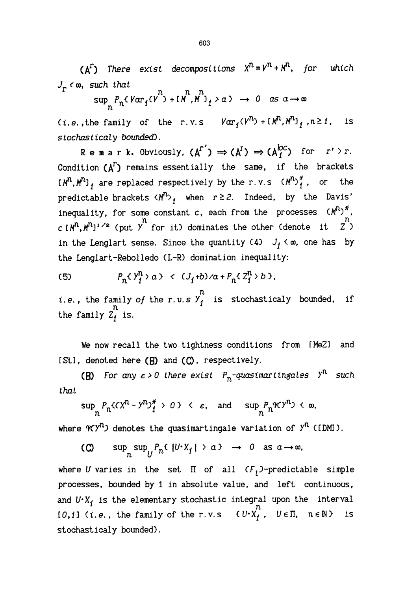$(A^T)$  There exist decompositions  $X^n = Y^n + M^n$ , for which  $J_r$   $\infty$ , such that

$$
\sup_{n} P_{n} (Var_{f}(V^{n}) + [M^{n}, M^{n}]_{f} > a) \rightarrow 0 \text{ as } a \rightarrow \infty
$$

(*i.e.*, the family of the r.v.s  $Var_f(V^n) + [M^n, M^n]_f$ ,  $n \ge 1$ , is s to chasticaly bounded).

Remark. Obviously,  $(A^{r'}) \Rightarrow (A^{r}) \Rightarrow (A^{b,c})$  for  $r' \rightarrow r$ . Condition  $(A^T)$  remains essentially the same, if the brackets  $[M^{n}, M^{n}]$ , are replaced respectively by the r.v.s  $(M^{n})_{1}^{*}$ , or the predictable brackets  $\langle M^{n} \rangle_{f}$  when  $r \geq 2$ . Indeed, by the Davis' inequality, for some constant c, each from the processes  $(M^{n})^{\ast}$ ,  $c(M^n, M^{n_1/2}$  (put  $\stackrel{n}{y}$  for it) dominates the other (denote it  $\stackrel{n}{z}$ ) in the Lenglart sense. Since the quantity (4)  $J_f \lt \infty$ , one has by the Lenglart-Rebolledo (L-R) domination inequality:

$$
(5) \qquad P_n \{ Y_I^n > a \} \iff (J_I + b) \land a + P_n \{ Z_I^n > b \}.
$$

n i.e., the family of the r.v.s  $Y_f$  is stochasticaly bounded, if  $n$ the family  $\overline{z}_1^n$  is.

We now recall the two tightness conditions from [MeZ] and  $[St]$ , denoted here  $(B)$  and  $(C)$ , respectively.

(B) For any  $\varepsilon > 0$  there exist  $P_n$ -quasimartingales  $Y^n$  such that

$$
\sup_n P_n \{ cX^n - Y^n \}^* \to 0 \} \langle \varepsilon, \text{ and } \sup_n P_n \mathcal{H} \}^n \rangle \langle \infty,
$$

where  $\mathcal{H}(\mathcal{Y}^n)$  denotes the quasimartingale variation of  $\mathcal{Y}^n$  ([DM]).

(C)  $\sup_n \sup_{t \in \mathbb{R}} P_n \{ |U^*X_i| > a \} \rightarrow 0$  as  $a \rightarrow \infty$ ,

where U varies in the set  $\Pi$  of all  $CF<sub>t</sub>$ )-predictable simple processes, bounded by 1 in absolute value, and left continuous, and  $U \cdot X_f$  is the elementary stochastic integral upon the interval [0,1] (i.e., the family of the r.v.s  $\{U^x X_f^h, U \in \Pi, n \in \mathbb{N}\}$  is stochasticaly bounded).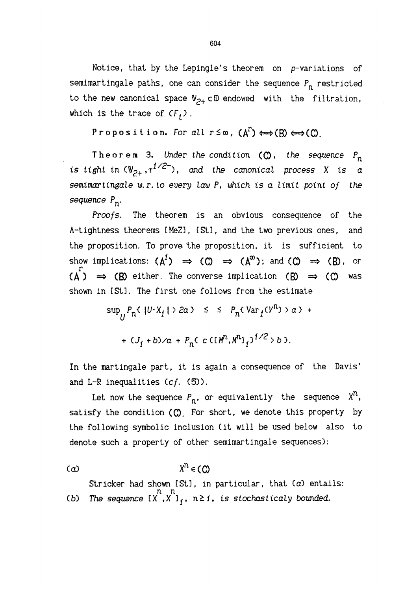Notice, that by the Lepingle's theorem on p-variations of semimartingale paths, one can consider the sequence  $P_n$  restricted to the new canonical space  $\mathbb{V}_{p_{+}}$  cD endowed with the filtration, which is the trace of  $CF<sub>f</sub>$ ).

Proposition. For all  $r \leq \infty$ ,  $(A^T) \leftrightarrow (B) \leftrightarrow (C)$ .

Theorem 3. Under the condition  $(C)$ , the sequence  $P_n$ is tight in  $({\mathbb V}_{p_+},\tau^{1/2^-})$ , and the canonical process X is a semimartingale w.r. to every law  $P$ , which is a limit point of the sequence  $P_n$ .

Proofs. The theorem is an obvious consequence of the A-tightness theorems [MeZ], CSt], and the two previous ones, and the proposition. To prove the proposition, it is sufficient to show implications:  $(A^1) \Rightarrow (C) \Rightarrow (A^{\infty})$ ; and  $(C) \Rightarrow (B)$ , or  $(A^{r}) \Rightarrow (B)$  either. The converse implication  $(B) \Rightarrow (C)$  was shown in [St]. The first one follows from the estimate

$$
\sup_{U} P_n \{ |U \cdot X_j| > 2a \} \leq \leq P_n \{ \text{Var}_1(V^n) > a \} +
$$
  
+ 
$$
\{ J_1 + b \} \times a + P_n \{ c \in [M^n, M^n]_1 \}^{1/2} > b \}.
$$

In the martingale part, it is again a consequence of the Davis' and L-R inequalities  $(cf. (5))$ .

Let now the sequence  $P_n$ , or equivalently the sequence  $X^n$ , satisfy the condition  $(0)$ . For short, we denote this property by the following symbolic inclusion (it will be used below also to denote such a property of other semimartingale sequences) :

$$
(a) \t\t Xn \in (c)
$$

Stricker had shown [St], in particular, that (a) entails:<br>n n (b) The sequence  $[X^*, X^*]_f,$   $n \ge 1$ , is stochasticaly bounded.

604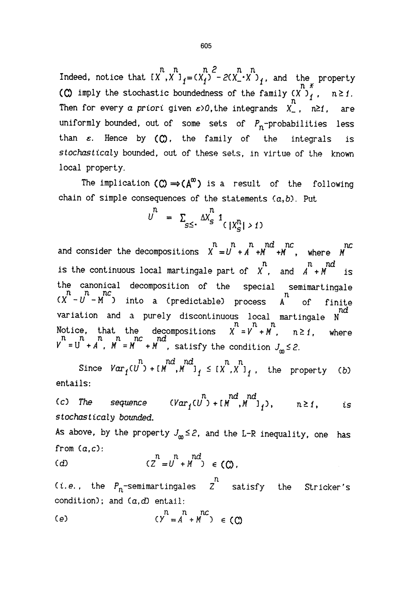n n n 2 n n Indeed, notice that  $[X^{\prime}, X^{\prime}]_1 = (X_1^{\prime})^2 - 2(X_1^{\prime} \cdot X^{\prime})_1$ , and the property (C) imply the stochastic boundedness of the family  $(X')_1''$ ,  $n \ge 1$ . Then for every a priori given  $\varepsilon > 0$ , the integrands  $X_{-}$ ,  $n \ge 1$ , are uniformly bounded, out of some sets of  $P_n$ -probabilities less than  $\varepsilon$ . Hence by  $(O)$ , the family of the integrals is stochasticaly bounded, out of these sets, in virtue of the known local property.

The implication  $(O) \rightarrow (A^{\infty})$  is a result of the following chain of simple consequences of the statements  $(a,b)$ . Put

$$
U^{n} = \sum_{s \leq 1} \Delta X^{n}_{s} 1_{\left(\frac{X^{n}_{s}}{s}\right) > 1}
$$

and consider the decompositions  $\begin{array}{ccc} & n & n & nd & nc \\ & & \end{array}$  where  $\begin{array}{ccc} & n & n \\ M & \end{array}$ is the continuous local martingale part of  $\begin{array}{ccc} & n & n d \\ N & n & n d & \end{array}$  is the canonical decomposition of the special semimartingale into a (predictable) process  $\overline{A}^n$ of finite variation and a purely discontinuous local martingale N Notice, that the decompositions  $X = V + M$ , n≥1, where n n n n nc nd  $Y = U + A$  ,  $M = M + M$  , satisfy the condition

n nd nd n n Since  $Var_{f}(U) + [M, M]_{f} \leq [X, X]_{f}$ , the property (*b*) entails:

(c) The sequence  $(Var_{f}(U^{n}) + [M^{n},M^{n}]_{i}), \t n \ge 1,$  is stochasticaly bounded.

As above, by the property  $J_{\infty} \leq 2$ , and the L-R inequality, one has from  $(a, c)$ :

(d) 
$$
(Z^n = U^n + M^n) \in (O)
$$
.

n (*i.e.*, the P<sub>n</sub>-semimartingales Z satisfy the Stricker's condition); and  $(a, d)$  entail:

$$
\begin{array}{ccc} (e) & & n & nc \\ & (Y = A + M) & \in (C) \end{array}
$$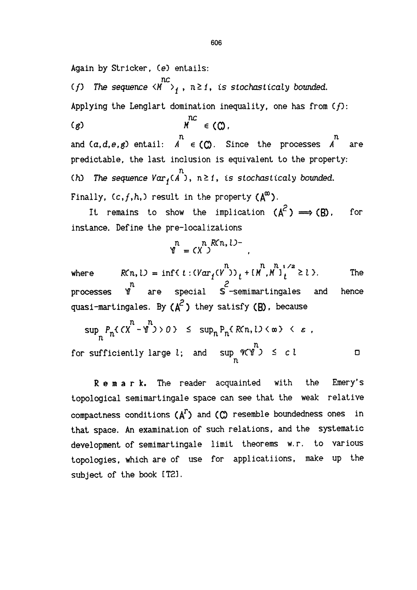Again by Stricker, (e) entails:

nc The sequence  $\langle M \rangle$  ,  $n \geq 1$ , is stochasticaly bounded. Applying the Lenglart domination inequality, one has from  $(f)$ :  $M^{nc} \in (O,$  $(g)$ 

n n and  $(a, d, e, g)$  entail:  $A \in (C)$ . Since the processes  $A$  are predictable, the last inclusion is equivalent to the property: n (h) The sequence  ${\sf Var}_f(A$  ),  $n\geq 1$ , is stochasticaly bounded. Finally,  $(c, f, h, )$  result in the property  $(A^{\infty})$ .

It remains to show the implication  $(A^2) \implies (B)$ , for instance. Define the pre-localizations

$$
Y^n = (X^n) R(n, l) -
$$

 $n \times n$  i/2 where  $R(n, l) = \inf\{t : (Var_{i}(V))_{i} + [M, M]_{i} \ge l \}$ . The n 2 processes W are special S -semimartingales and hence quasi-martingales. By  $(A^2)$  they satisfy  $(B)$ , because

$$
\sup_{n} P_{n} \{ (X^{n} - Y^{n}) > 0 \} \leq \sup_{n} P_{n} \{ R(n, l) < \infty \} < \varepsilon ,
$$
  
for sufficiently large l; and  $\sup_{n} Y(Y^{n}) \leq c l$ 

Remark. The reader acquainted with the Emery's topological semimartingale space can see that the weak relative compactness conditions  $(A^T)$  and  $(C)$  resemble boundedness ones in that space. An examination of such relations, and the systematic development of semimartingale limit theorems w.r. to various topologies, which are of use for applications, make up the subject of the book [T2].